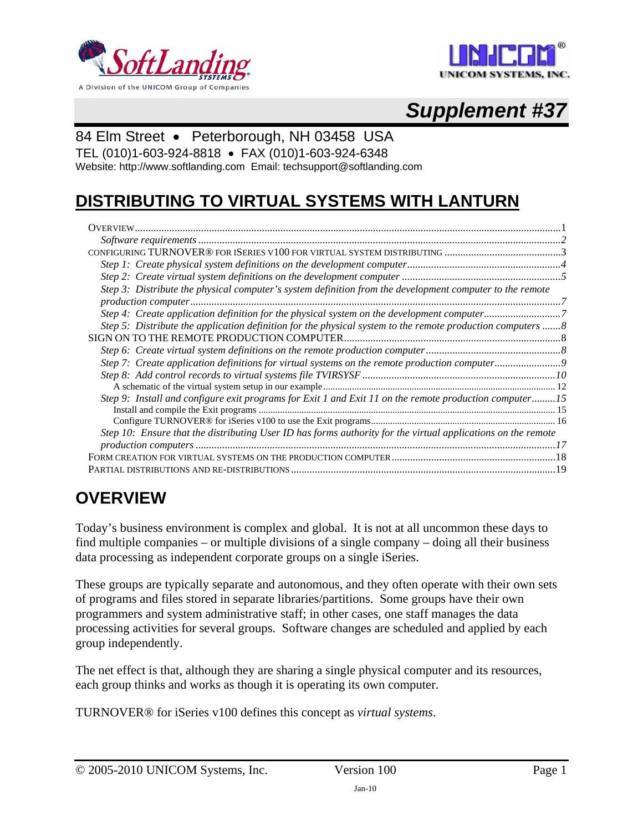



# *Supplement #37*

### 84 Elm Street • Peterborough, NH 03458 USA

TEL (010)1-603-924-8818 • FAX (010)1-603-924-6348

Website: http://www.softlanding.com Email: techsupport@softlanding.com

## **DISTRIBUTING TO VIRTUAL SYSTEMS WITH LANTURN**

| Step 3: Distribute the physical computer's system definition from the development computer to the remote     |  |
|--------------------------------------------------------------------------------------------------------------|--|
|                                                                                                              |  |
|                                                                                                              |  |
| Step 5: Distribute the application definition for the physical system to the remote production computers 8   |  |
|                                                                                                              |  |
|                                                                                                              |  |
|                                                                                                              |  |
|                                                                                                              |  |
|                                                                                                              |  |
| Step 9: Install and configure exit programs for Exit 1 and Exit 11 on the remote production computer15       |  |
|                                                                                                              |  |
|                                                                                                              |  |
| Step 10: Ensure that the distributing User ID has forms authority for the virtual applications on the remote |  |
|                                                                                                              |  |
|                                                                                                              |  |
|                                                                                                              |  |

## <span id="page-0-0"></span>**OVERVIEW**

Today's business environment is complex and global. It is not at all uncommon these days to find multiple companies – or multiple divisions of a single company – doing all their business data processing as independent corporate groups on a single iSeries.

These groups are typically separate and autonomous, and they often operate with their own sets of programs and files stored in separate libraries/partitions. Some groups have their own programmers and system administrative staff; in other cases, one staff manages the data processing activities for several groups. Software changes are scheduled and applied by each group independently.

The net effect is that, although they are sharing a single physical computer and its resources, each group thinks and works as though it is operating its own computer.

TURNOVER® for iSeries v100 defines this concept as *virtual systems*.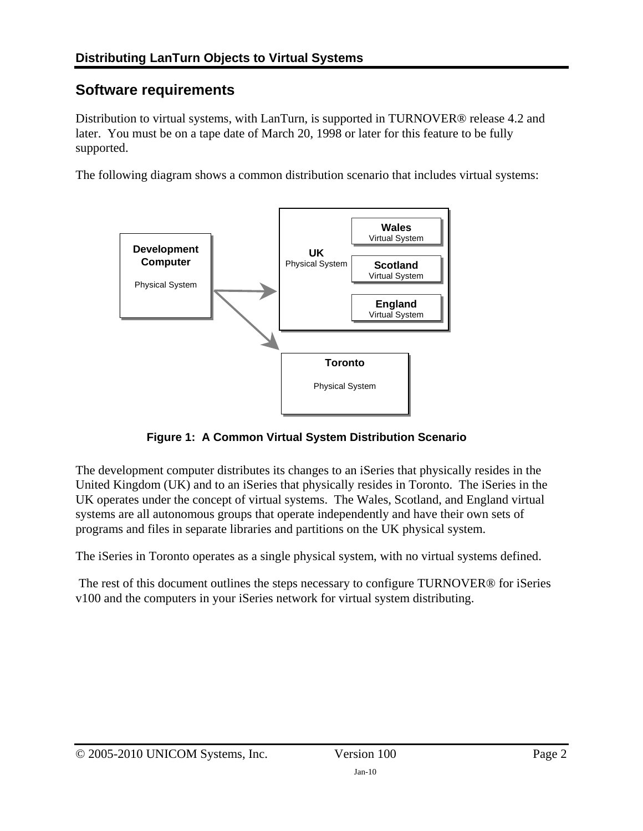## <span id="page-1-0"></span>**Software requirements**

Distribution to virtual systems, with LanTurn, is supported in TURNOVER<sup>®</sup> release 4.2 and later. You must be on a tape date of March 20, 1998 or later for this feature to be fully supported.

The following diagram shows a common distribution scenario that includes virtual systems:



**Figure 1: A Common Virtual System Distribution Scenario** 

The development computer distributes its changes to an iSeries that physically resides in the United Kingdom (UK) and to an iSeries that physically resides in Toronto. The iSeries in the UK operates under the concept of virtual systems. The Wales, Scotland, and England virtual systems are all autonomous groups that operate independently and have their own sets of programs and files in separate libraries and partitions on the UK physical system.

The iSeries in Toronto operates as a single physical system, with no virtual systems defined.

 The rest of this document outlines the steps necessary to configure TURNOVER® for iSeries v100 and the computers in your iSeries network for virtual system distributing.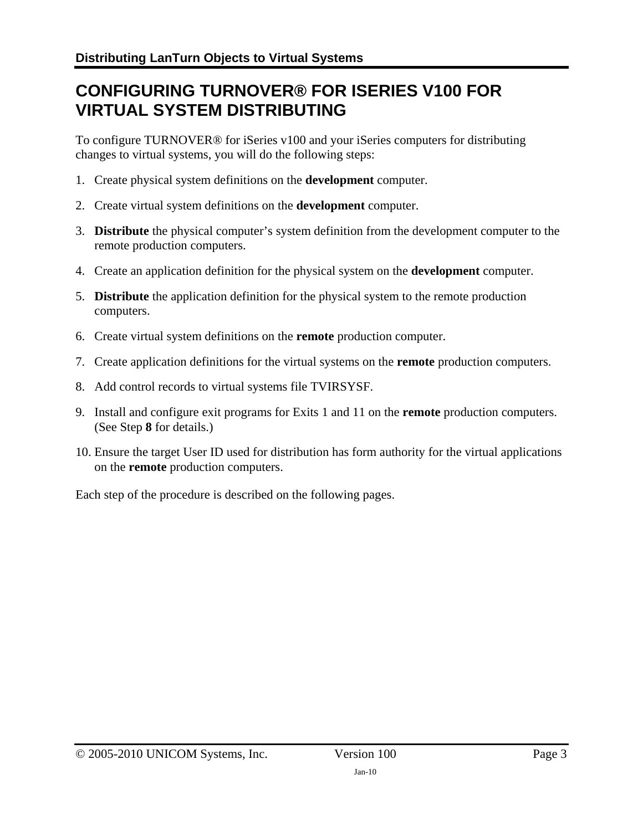## <span id="page-2-0"></span>**CONFIGURING TURNOVER® FOR ISERIES V100 FOR VIRTUAL SYSTEM DISTRIBUTING**

To configure TURNOVER® for iSeries v100 and your iSeries computers for distributing changes to virtual systems, you will do the following steps:

- 1. Create physical system definitions on the **development** computer.
- 2. Create virtual system definitions on the **development** computer.
- 3. **Distribute** the physical computer's system definition from the development computer to the remote production computers.
- 4. Create an application definition for the physical system on the **development** computer.
- 5. **Distribute** the application definition for the physical system to the remote production computers.
- <span id="page-2-2"></span>6. Create virtual system definitions on the **remote** production computer.
- <span id="page-2-3"></span>7. Create application definitions for the virtual systems on the **remote** production computers.
- <span id="page-2-1"></span>8. Add control records to virtual systems file TVIRSYSF.
- 9. Install and configure exit programs for Exits 1 and 11 on the **remote** production computers. (See Step **[8](#page-2-1)** for details.)
- 10. Ensure the target User ID used for distribution has form authority for the virtual applications on the **remote** production computers.

Each step of the procedure is described on the following pages.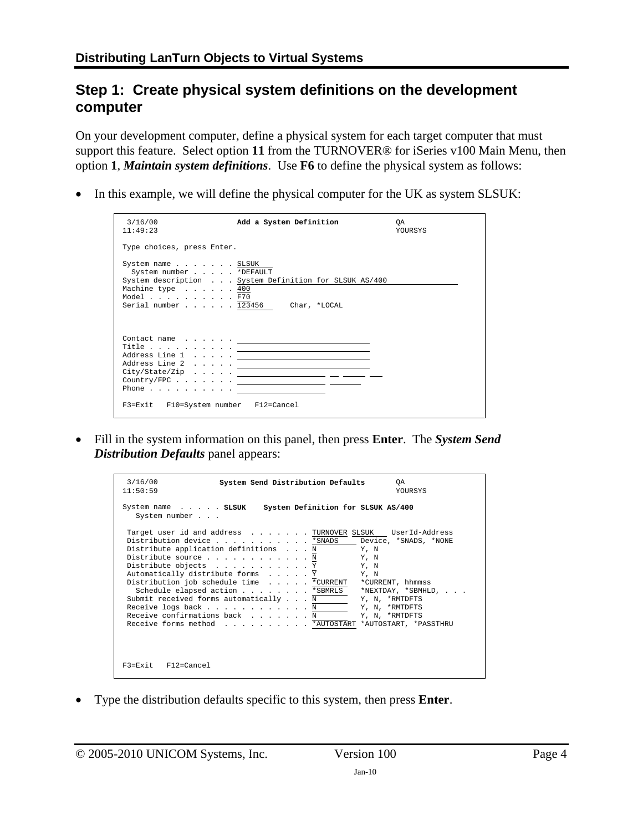### <span id="page-3-0"></span>**Step 1: Create physical system definitions on the development computer**

On your development computer, define a physical system for each target computer that must support this feature. Select option **11** from the TURNOVER® for iSeries v100 Main Menu, then option **1**, *Maintain system definitions*. Use **F6** to define the physical system as follows:

• In this example, we will define the physical computer for the UK as system SLSUK:

| 3/16/00<br>11:49:23                                                          | Add a System Definition                                                                                                                                                                                                                                                                                                                                                                                                                                                                                                                                                                                                                                                                                                                                                                                                               | OA.<br><b>YOURSYS</b> |
|------------------------------------------------------------------------------|---------------------------------------------------------------------------------------------------------------------------------------------------------------------------------------------------------------------------------------------------------------------------------------------------------------------------------------------------------------------------------------------------------------------------------------------------------------------------------------------------------------------------------------------------------------------------------------------------------------------------------------------------------------------------------------------------------------------------------------------------------------------------------------------------------------------------------------|-----------------------|
| Type choices, press Enter.                                                   |                                                                                                                                                                                                                                                                                                                                                                                                                                                                                                                                                                                                                                                                                                                                                                                                                                       |                       |
| System name SLSUK<br>System number *DEFAULT<br>Machine type 400<br>Model F70 | System description System Definition for SLSUK AS/400<br>Serial number 123456 Char, *LOCAL                                                                                                                                                                                                                                                                                                                                                                                                                                                                                                                                                                                                                                                                                                                                            |                       |
| F3=Exit F10=System number F12=Cancel                                         | $\begin{picture}(18,19) \put(0,0){\vector(1,0){100}} \put(15,0){\vector(1,0){100}} \put(15,0){\vector(1,0){100}} \put(15,0){\vector(1,0){100}} \put(15,0){\vector(1,0){100}} \put(15,0){\vector(1,0){100}} \put(15,0){\vector(1,0){100}} \put(15,0){\vector(1,0){100}} \put(15,0){\vector(1,0){100}} \put(15,0){\vector(1,0){100}} \put(15,0){\vector(1,0){100}} \$<br>$City/State/Zip \dots \dots \dots$<br>$\texttt{Country/FPC} \hspace{1.5cm} \ldots \hspace{1.5cm} \ldots \hspace{1.5cm} \ldots \hspace{1.5cm} \ldots \hspace{1.5cm} \ldots \hspace{1.5cm} \ldots \hspace{1.5cm} \ldots \hspace{1.5cm} \ldots \hspace{1.5cm} \ldots \hspace{1.5cm} \ldots \hspace{1.5cm} \ldots \hspace{1.5cm} \ldots \hspace{1.5cm} \ldots \hspace{1.5cm} \ldots \hspace{1.5cm} \ldots \hspace{1.5cm} \ldots \hspace{1.5cm} \ldots \hspace{1.5$ |                       |

• Fill in the system information on this panel, then press **Enter**. The *System Send Distribution Defaults* panel appears:

| 3/16/00<br>System Send Distribution Defaults<br>OA.<br>11:50:59<br><b>YOURSYS</b>                                                                                                                                                                                                                                                                                                                                                                                                                                                                                                                                   |
|---------------------------------------------------------------------------------------------------------------------------------------------------------------------------------------------------------------------------------------------------------------------------------------------------------------------------------------------------------------------------------------------------------------------------------------------------------------------------------------------------------------------------------------------------------------------------------------------------------------------|
| System Definition for SLSUK AS/400<br>System name SLSUK<br>System number                                                                                                                                                                                                                                                                                                                                                                                                                                                                                                                                            |
| Target user id and address TURNOVER SLSUK UserId-Address<br>Distribution device *SNADS<br>Device, *SNADS, *NONE<br>Distribute application definitions N<br>Y, N<br>Distribute source N<br>Y, N<br>Distribute objects Y<br>Y, N<br>Automatically distribute forms Y<br>Y, N<br>Distribution job schedule time * CURRENT<br>*CURRENT, hhmmss<br>Schedule elapsed action *SBMRLS<br>*NEXTDAY, *SBMHLD,<br>Submit received forms automatically N<br>Y, N, *RMTDFTS<br>Receive logs back N<br>Y, N, *RMTDFTS<br>Receive confirmations back N<br>Y, N, *RMTDFTS<br>Receive forms method * AUTOSTART *AUTOSTART, *PASSTHRU |
| $F3 = Exit$ $F12 = Cance1$                                                                                                                                                                                                                                                                                                                                                                                                                                                                                                                                                                                          |

• Type the distribution defaults specific to this system, then press **Enter**.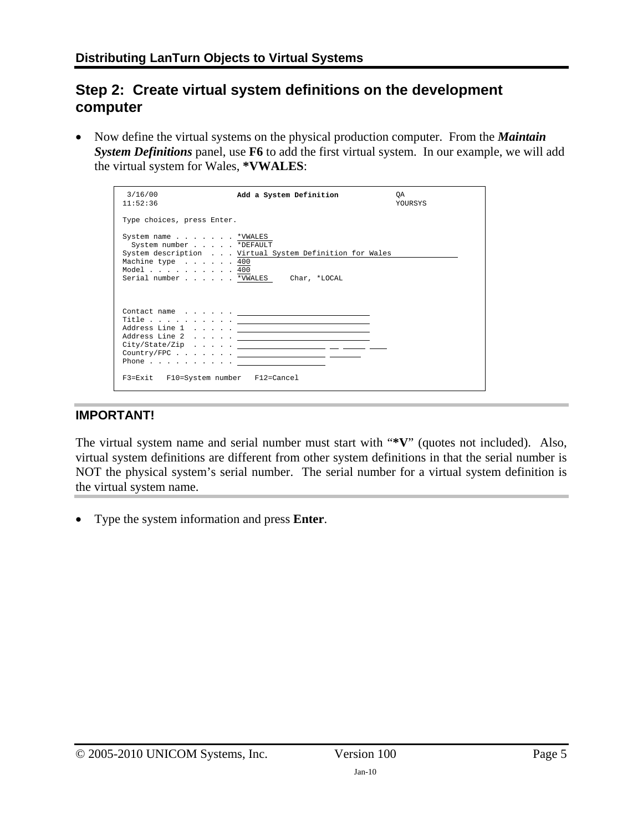## <span id="page-4-0"></span>**Step 2: Create virtual system definitions on the development computer**

• Now define the virtual systems on the physical production computer. From the *Maintain System Definitions* panel, use **F6** to add the first virtual system. In our example, we will add the virtual system for Wales, **\*VWALES**:

| Type choices, press Enter.<br>System name *VWALES<br>System number *DEFAULT<br>System description Virtual System Definition for Wales<br>Machine type 400<br>Model 400<br>Serial number *VWALES Char, *LOCAL<br>$\begin{array}{cccccccccccccc} \texttt{Context name} & . & . & . & . & . & \underline{\hspace{1.5cm}} & & & & & & & & & \texttt{---} \end{array}$<br>${\bf Title} \; . \; . \; . \; . \; . \; . \; . \; . \; . \; . \; . \; . \; \underline{\hspace{1cm}} \underline{\hspace{1cm}} \underline{\hspace{1cm}} \underline{\hspace{1cm}} \underline{\hspace{1cm}} \underline{\hspace{1cm}} \underline{\hspace{1cm}} \underline{\hspace{1cm}} \underline{\hspace{1cm}} \underline{\hspace{1cm}} \underline{\hspace{1cm}} \underline{\hspace{1cm}} \underline{\hspace{1cm}} \underline{\hspace{1cm}} \underline{\hspace{1cm}} \underline{\hspace{1cm}} \underline{\hspace{1cm}} \underline{\hspace{1cm}} \underline{\hspace{1cm}} \underline{\hspace{1$<br>$City/State/Zip \dots \dots \dots$<br>Phone $\ldots$ <u>_____________</u> _______ | 3/16/00<br>11:52:36 | Add a System Definition | 0A<br><b>YOURSYS</b> |
|--------------------------------------------------------------------------------------------------------------------------------------------------------------------------------------------------------------------------------------------------------------------------------------------------------------------------------------------------------------------------------------------------------------------------------------------------------------------------------------------------------------------------------------------------------------------------------------------------------------------------------------------------------------------------------------------------------------------------------------------------------------------------------------------------------------------------------------------------------------------------------------------------------------------------------------------------------------------------------------------------------------------------------------------------------|---------------------|-------------------------|----------------------|
|                                                                                                                                                                                                                                                                                                                                                                                                                                                                                                                                                                                                                                                                                                                                                                                                                                                                                                                                                                                                                                                        |                     |                         |                      |
|                                                                                                                                                                                                                                                                                                                                                                                                                                                                                                                                                                                                                                                                                                                                                                                                                                                                                                                                                                                                                                                        |                     |                         |                      |
| F3=Exit F10=System number F12=Cancel                                                                                                                                                                                                                                                                                                                                                                                                                                                                                                                                                                                                                                                                                                                                                                                                                                                                                                                                                                                                                   |                     |                         |                      |

#### **IMPORTANT!**

The virtual system name and serial number must start with "**\*V**" (quotes not included). Also, virtual system definitions are different from other system definitions in that the serial number is NOT the physical system's serial number. The serial number for a virtual system definition is the virtual system name.

• Type the system information and press **Enter**.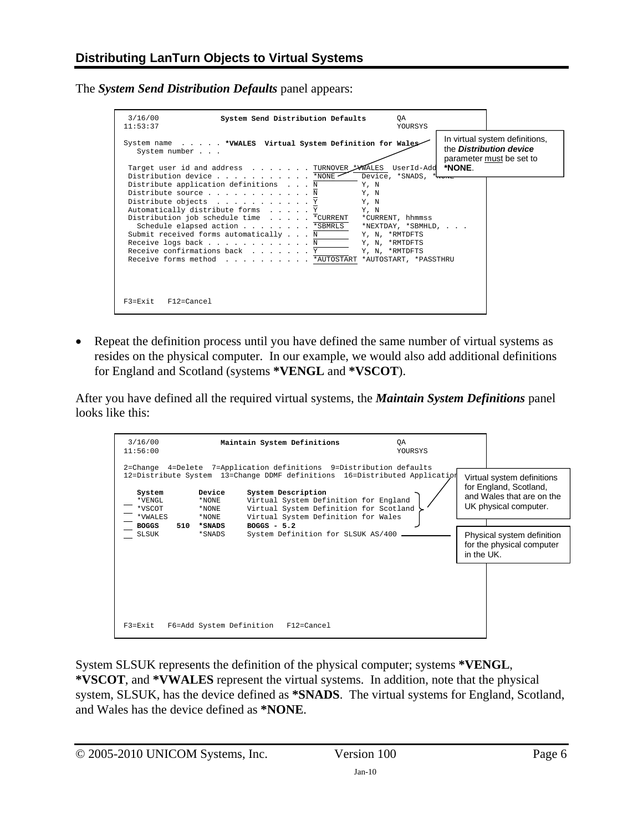The *System Send Distribution Defaults* panel appears:

| 3/16/00<br>System Send Distribution Defaults<br>0A<br>11:53:37                                                                                                                                                                                                                                                                                                                                                                                                                                                       | YOURSYS               |                                                                                              |
|----------------------------------------------------------------------------------------------------------------------------------------------------------------------------------------------------------------------------------------------------------------------------------------------------------------------------------------------------------------------------------------------------------------------------------------------------------------------------------------------------------------------|-----------------------|----------------------------------------------------------------------------------------------|
| System name * VWALES Virtual System Definition for Wales<br>System number<br>Target user id and address TURNOVER FWALES UserId-Add *NONE.                                                                                                                                                                                                                                                                                                                                                                            |                       | In virtual system definitions,<br>the <b>Distribution device</b><br>parameter must be set to |
| Distribution device *NONE<br>Distribute application definitions N<br>Y, N<br>Distribute source N<br>Y, N<br>Distribute objects Y<br>Y, N<br>Automatically distribute forms Y<br>Y, N<br>Distribution job schedule time * CURRENT * CURRENT, hhmmss<br>Schedule elapsed action *SBMRLS *NEXTDAY, *SBMHLD,<br>Submit received forms automatically N Y, N, *RMTDFTS<br>Receive logs back N $Y, N, *RMTDFTS$<br>Receive confirmations back Y<br>Y, N, *RMTDFTS<br>Receive forms method * AUTOSTART *AUTOSTART, *PASSTHRU | Device, *SNADS, *wore |                                                                                              |
| F3=Exit<br>F12=Cancel                                                                                                                                                                                                                                                                                                                                                                                                                                                                                                |                       |                                                                                              |

• Repeat the definition process until you have defined the same number of virtual systems as resides on the physical computer. In our example, we would also add additional definitions for England and Scotland (systems **\*VENGL** and **\*VSCOT**).

After you have defined all the required virtual systems, the *Maintain System Definitions* panel looks like this:

| 3/16/00<br>11:56:00                                                          |                                                       | Maintain System Definitions                                                                                                                                                                                                                                                                                                                              | ΟA<br>YOURSYS |                                                                                                                                                                                     |
|------------------------------------------------------------------------------|-------------------------------------------------------|----------------------------------------------------------------------------------------------------------------------------------------------------------------------------------------------------------------------------------------------------------------------------------------------------------------------------------------------------------|---------------|-------------------------------------------------------------------------------------------------------------------------------------------------------------------------------------|
| System<br>*VENGL<br>*VSCOT<br>*VWALES<br><b>BOGGS</b><br>510<br><b>SLSUK</b> | Device<br>*NONE<br>*NONE<br>*NONE<br>*SNADS<br>*SNADS | 2=Change 4=Delete 7=Application definitions 9=Distribution defaults<br>12=Distribute System 13=Change DDMF definitions 16=Distributed Application<br>System Description<br>Virtual System Definition for England<br>Virtual System Definition for Scotland<br>Virtual System Definition for Wales<br>$BOGGS - 5.2$<br>System Definition for SLSUK AS/400 |               | Virtual system definitions<br>for England, Scotland,<br>and Wales that are on the<br>UK physical computer.<br>Physical system definition<br>for the physical computer<br>in the UK. |
| $F3 = Fx i t$                                                                | F6=Add System Definition                              | $F12 = Cancel$                                                                                                                                                                                                                                                                                                                                           |               |                                                                                                                                                                                     |

System SLSUK represents the definition of the physical computer; systems **\*VENGL**, **\*VSCOT**, and **\*VWALES** represent the virtual systems. In addition, note that the physical system, SLSUK, has the device defined as **\*SNADS**. The virtual systems for England, Scotland, and Wales has the device defined as **\*NONE**.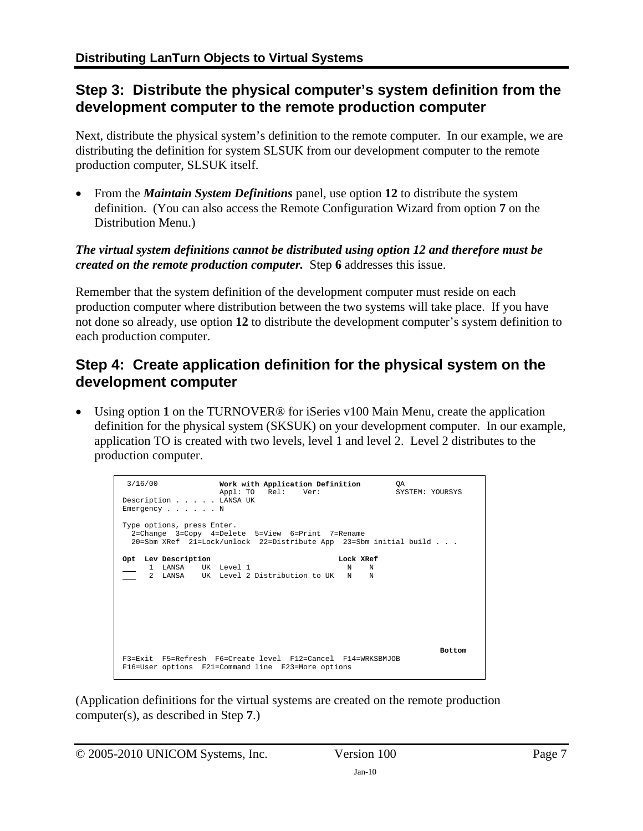### <span id="page-6-0"></span>**Step 3: Distribute the physical computer's system definition from the development computer to the remote production computer**

Next, distribute the physical system's definition to the remote computer. In our example, we are distributing the definition for system SLSUK from our development computer to the remote production computer, SLSUK itself.

• From the *Maintain System Definitions* panel, use option **12** to distribute the system definition. (You can also access the Remote Configuration Wizard from option **7** on the Distribution Menu.)

#### *The virtual system definitions cannot be distributed using option 12 and therefore must be created on the remote production computer.* Step **[6](#page-2-2)** addresses this issue.

Remember that the system definition of the development computer must reside on each production computer where distribution between the two systems will take place. If you have not done so already, use option **12** to distribute the development computer's system definition to each production computer.

## <span id="page-6-1"></span>**Step 4: Create application definition for the physical system on the development computer**

• Using option 1 on the TURNOVER<sup>®</sup> for iSeries v100 Main Menu, create the application definition for the physical system (SKSUK) on your development computer. In our example, application TO is created with two levels, level 1 and level 2. Level 2 distributes to the production computer.

| Work with Application Definition<br>3/16/00<br>OA<br>Appl: TO Rel: Ver:<br>SYSTEM: YOURSYS<br>Description LANSA UK<br>Emergency $\ldots$ $\ldots$ N |               |
|-----------------------------------------------------------------------------------------------------------------------------------------------------|---------------|
| Type options, press Enter.<br>2=Change 3=Copy 4=Delete 5=View 6=Print 7=Rename<br>20=Sbm XRef 21=Lock/unlock 22=Distribute App 23=Sbm initial build |               |
| Lock XRef<br>Opt Lev Description                                                                                                                    |               |
| 1 LANSA UK Level 1<br>N<br>N                                                                                                                        |               |
| 2 LANSA UK Level 2 Distribution to UK N N                                                                                                           |               |
|                                                                                                                                                     |               |
|                                                                                                                                                     | <b>Bottom</b> |
| F3=Exit F5=Refresh F6=Create level F12=Cancel F14=WRKSBMJOB                                                                                         |               |
| F16=User options F21=Command line F23=More options                                                                                                  |               |

(Application definitions for the virtual systems are created on the remote production computer(s), as described in Step **[7](#page-2-3)**.)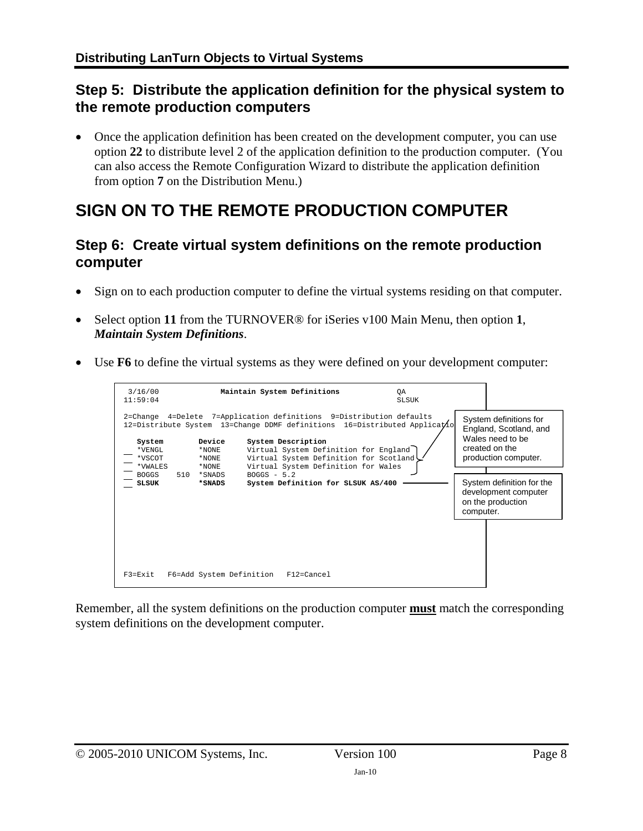### <span id="page-7-0"></span>**Step 5: Distribute the application definition for the physical system to the remote production computers**

• Once the application definition has been created on the development computer, you can use option **22** to distribute level 2 of the application definition to the production computer. (You can also access the Remote Configuration Wizard to distribute the application definition from option **7** on the Distribution Menu.)

## <span id="page-7-1"></span>**SIGN ON TO THE REMOTE PRODUCTION COMPUTER**

#### <span id="page-7-2"></span>**Step 6: Create virtual system definitions on the remote production computer**

- Sign on to each production computer to define the virtual systems residing on that computer.
- Select option **11** from the TURNOVER® for iSeries v100 Main Menu, then option **1**, *Maintain System Definitions*.
- Use **F6** to define the virtual systems as they were defined on your development computer:

| 3/16/00<br>11:59:04                   |                                   | Maintain System Definitions                                                                                                                                                                                                                                                                       | ΟA<br><b>SLSUK</b> |           |                                                                                                                |
|---------------------------------------|-----------------------------------|---------------------------------------------------------------------------------------------------------------------------------------------------------------------------------------------------------------------------------------------------------------------------------------------------|--------------------|-----------|----------------------------------------------------------------------------------------------------------------|
| System<br>*VENGL<br>*VSCOT<br>*VWALES | Device<br>*NONE<br>*NONE<br>*NONE | 2=Change 4=Delete 7=Application definitions 9=Distribution defaults<br>12=Distribute System 13=Change DDMF definitions 16=Distributed Applicatio<br>System Description<br>Virtual System Definition for England<br>Virtual System Definition for Scotland!<br>Virtual System Definition for Wales |                    |           | System definitions for<br>England, Scotland, and<br>Wales need to be<br>created on the<br>production computer. |
| 510<br><b>BOGGS</b><br><b>SLSUK</b>   | *SNADS<br>*SNADS                  | $BOGGS - 5.2$<br>System Definition for SLSUK AS/400                                                                                                                                                                                                                                               |                    | computer. | System definition for the<br>development computer<br>on the production                                         |
| $F3 = Fx i t$                         | F6=Add System Definition          | F12=Cancel                                                                                                                                                                                                                                                                                        |                    |           |                                                                                                                |

Remember, all the system definitions on the production computer **must** match the corresponding system definitions on the development computer.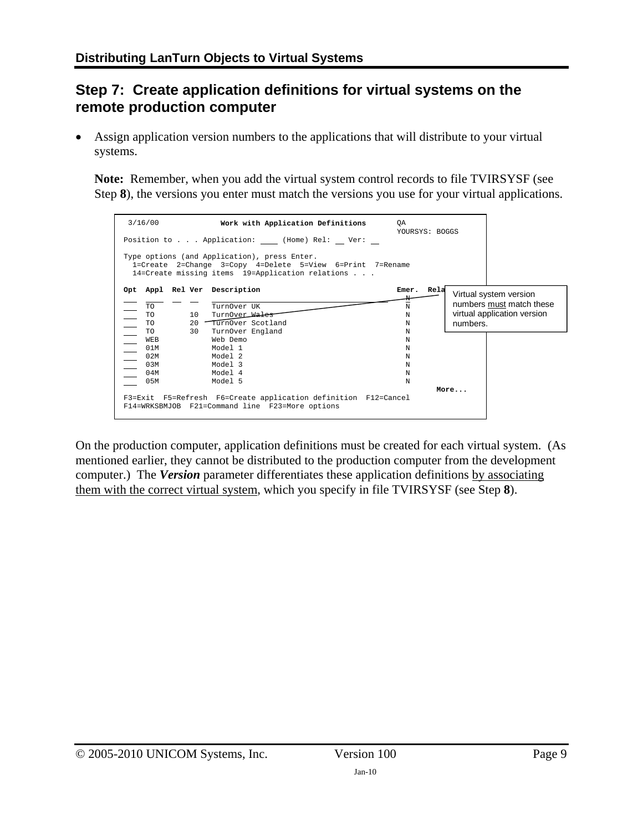## <span id="page-8-0"></span>**Step 7: Create application definitions for virtual systems on the remote production computer**

Assign application version numbers to the applications that will distribute to your virtual systems.

**Note:** Remember, when you add the virtual system control records to file TVIRSYSF (see Step **[8](#page-2-1)**), the versions you enter must match the versions you use for your virtual applications.



On the production computer, application definitions must be created for each virtual system. (As mentioned earlier, they cannot be distributed to the production computer from the development computer.) The *Version* parameter differentiates these application definitions by associating them with the correct virtual system, which you specify in file TVIRSYSF (see Step **[8](#page-2-1)**).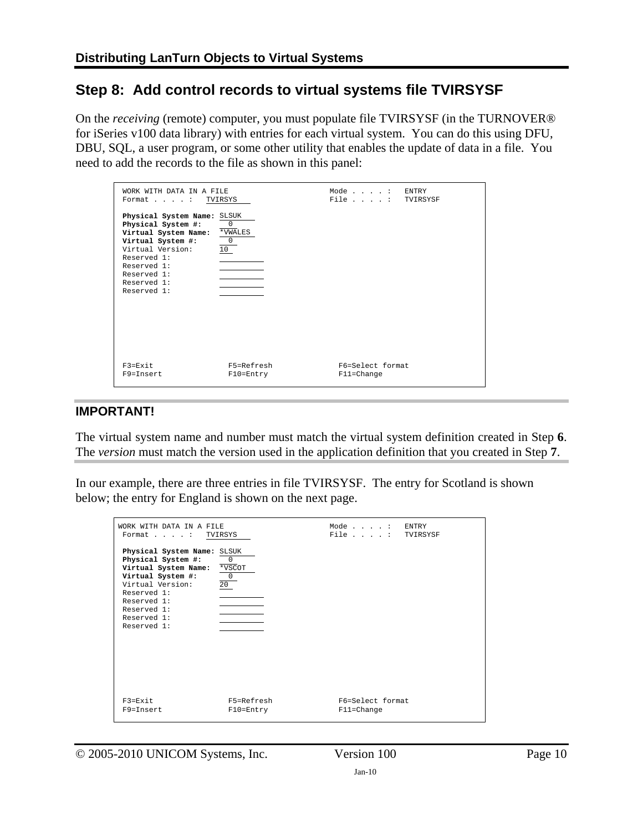### <span id="page-9-0"></span>**Step 8: Add control records to virtual systems file TVIRSYSF**

On the *receiving* (remote) computer, you must populate file TVIRSYSF (in the TURNOVER® for iSeries v100 data library) with entries for each virtual system. You can do this using DFU, DBU, SQL, a user program, or some other utility that enables the update of data in a file. You need to add the records to the file as shown in this panel:

| WORK WITH DATA IN A FILE<br>Format : TVIRSYS                                                                                                                                                  |                                      | Mode: ENTRY<br>File : TVIRSYSF     |  |
|-----------------------------------------------------------------------------------------------------------------------------------------------------------------------------------------------|--------------------------------------|------------------------------------|--|
| Physical System Name: SLSUK<br>Physical System #:<br>Virtual System Name:<br>Virtual System #:<br>Virtual Version:<br>Reserved 1:<br>Reserved 1:<br>Reserved 1:<br>Reserved 1:<br>Reserved 1: | 0<br>*VWALES<br>$\overline{0}$<br>10 |                                    |  |
| $F3 = Exit$<br>$F9 = Tn$ sert                                                                                                                                                                 | F5=Refresh<br>$F10 = Entry$          | F6=Select format<br>$F11 = Change$ |  |

#### **IMPORTANT!**

The virtual system name and number must match the virtual system definition created in Step **[6](#page-2-2)**. The *version* must match the version used in the application definition that you created in Step **[7](#page-2-3)**.

In our example, there are three entries in file TVIRSYSF. The entry for Scotland is shown below; the entry for England is shown on the next page.

| WORK WITH DATA IN A FILE<br>Format : TVIRSYS                                                                                                                                                  |                                                         | Mode: ENTRY<br>File $\ldots$ . : | TVIRSYSF |
|-----------------------------------------------------------------------------------------------------------------------------------------------------------------------------------------------|---------------------------------------------------------|----------------------------------|----------|
| Physical System Name: SLSUK<br>Physical System #:<br>Virtual System Name:<br>Virtual System #:<br>Virtual Version:<br>Reserved 1:<br>Reserved 1:<br>Reserved 1:<br>Reserved 1:<br>Reserved 1: | $\mathbf 0$<br>*VSCOT<br>$\mathbf 0$<br>20 <sub>2</sub> |                                  |          |
| $F3 = Fx i t$<br>F9=Insert                                                                                                                                                                    | F5=Refresh<br>$F10 = Entry$                             | F6=Select format<br>F11=Change   |          |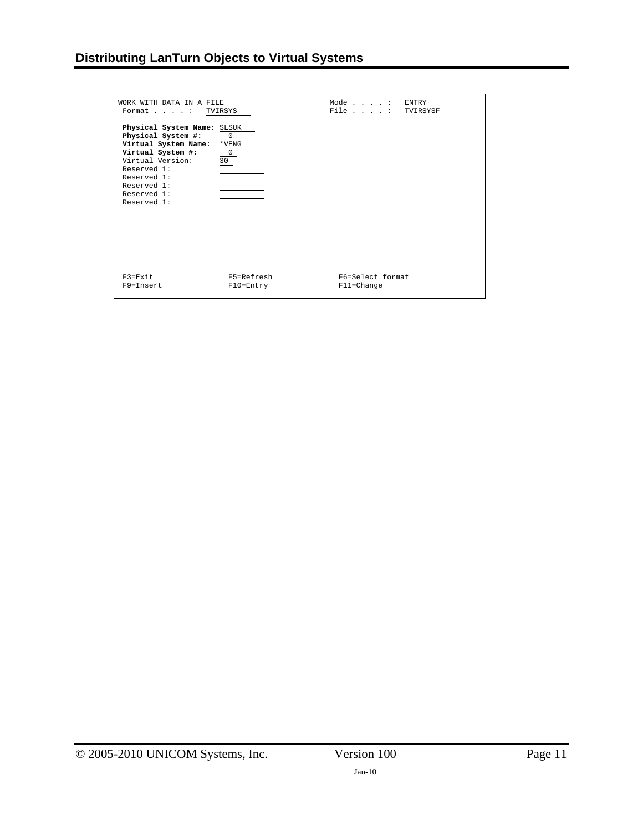| WORK WITH DATA IN A FILE<br>Format : TVIRSYS                                                                                                                                                  |                                                                | Mode: ENTRY<br>File : TVIRSYSF |  |
|-----------------------------------------------------------------------------------------------------------------------------------------------------------------------------------------------|----------------------------------------------------------------|--------------------------------|--|
| Physical System Name: SLSUK<br>Physical System #:<br>Virtual System Name:<br>Virtual System #:<br>Virtual Version:<br>Reserved 1:<br>Reserved 1:<br>Reserved 1:<br>Reserved 1:<br>Reserved 1: | $\overline{\phantom{a}}$ 0<br>$*$ VENG<br>$\overline{0}$<br>30 |                                |  |
| $F3 = Fx i t$<br>F9=Insert                                                                                                                                                                    | F5=Refresh<br>$F10 = Entry$                                    | F6=Select format<br>F11=Change |  |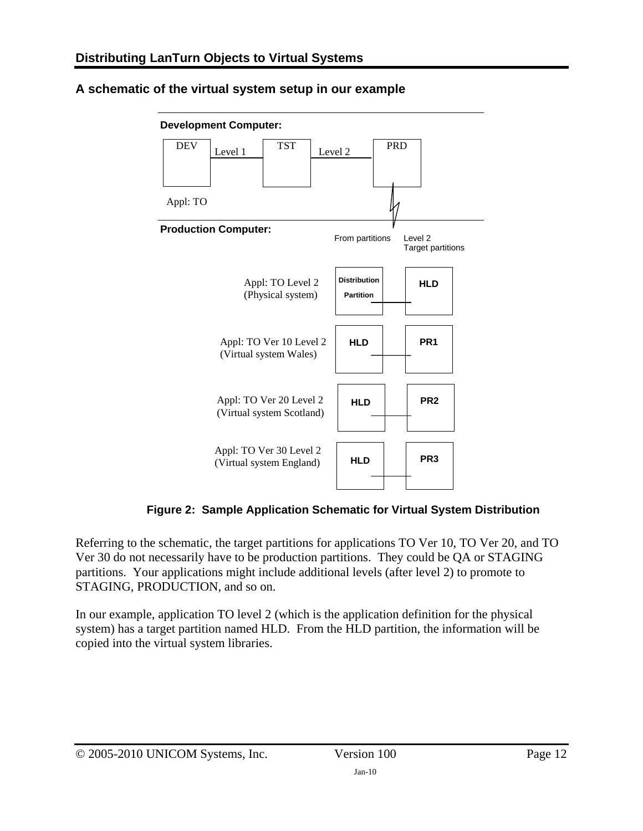

#### <span id="page-11-0"></span>**A schematic of the virtual system setup in our example**

**Figure 2: Sample Application Schematic for Virtual System Distribution** 

Referring to the schematic, the target partitions for applications TO Ver 10, TO Ver 20, and TO Ver 30 do not necessarily have to be production partitions. They could be QA or STAGING partitions. Your applications might include additional levels (after level 2) to promote to STAGING, PRODUCTION, and so on.

In our example, application TO level 2 (which is the application definition for the physical system) has a target partition named HLD. From the HLD partition, the information will be copied into the virtual system libraries.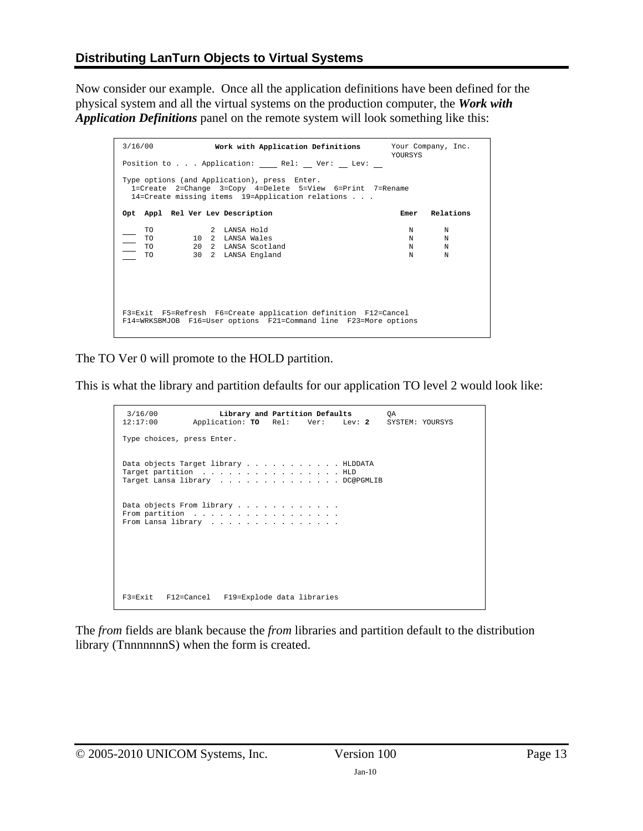Now consider our example. Once all the application definitions have been defined for the physical system and all the virtual systems on the production computer, the *Work with Application Definitions* panel on the remote system will look something like this:

| 3/16/00                                                                                                                                                       | Work with Application Definitions Your Company, Inc.                          | <b>YOURSYS</b>                       |  |  |
|---------------------------------------------------------------------------------------------------------------------------------------------------------------|-------------------------------------------------------------------------------|--------------------------------------|--|--|
|                                                                                                                                                               | Position to Application: Rel: Ver: Lev:                                       |                                      |  |  |
| Type options (and Application), press Enter.<br>1=Create 2=Change 3=Copy 4=Delete 5=View 6=Print 7=Rename<br>14=Create missing items 19=Application relations |                                                                               |                                      |  |  |
|                                                                                                                                                               | Opt Appl Rel Ver Lev Description                                              | Relations<br>Emer                    |  |  |
| <b>TO</b><br>TO.<br>$\equiv$<br>TO.<br><b>TO</b>                                                                                                              | 2 LANSA Hold<br>10 2 LANSA Wales<br>20 2 LANSA Scotland<br>30 2 LANSA England | N<br>N<br>N<br>N<br>N<br>N<br>N<br>N |  |  |
| F3=Exit F5=Refresh F6=Create application definition F12=Cancel<br>F14=WRKSBMJOB F16=User options F21=Command line F23=More options                            |                                                                               |                                      |  |  |

The TO Ver 0 will promote to the HOLD partition.

This is what the library and partition defaults for our application TO level 2 would look like:

```
 3/16/00 Library and Partition Defaults QA 
 12:17:00 Application: TO Rel: Ver: Lev: 2 SYSTEM: YOURSYS 
 Type choices, press Enter. 
 Data objects Target library . . . . . . . . . . . HLDDATA 
Target partition . . . . . . . . . . . . . . . . HLD<br>Target Lansa library . . . . . . . . . . . . . DC@PGMLIB
Data objects From library . . . . . . . . . . . .
From partition . . . . . . . . . . . .
From Lansa library . . . . . . . . . . . . . . .
 F3=Exit F12=Cancel F19=Explode data libraries
```
The *from* fields are blank because the *from* libraries and partition default to the distribution library (TnnnnnnnS) when the form is created.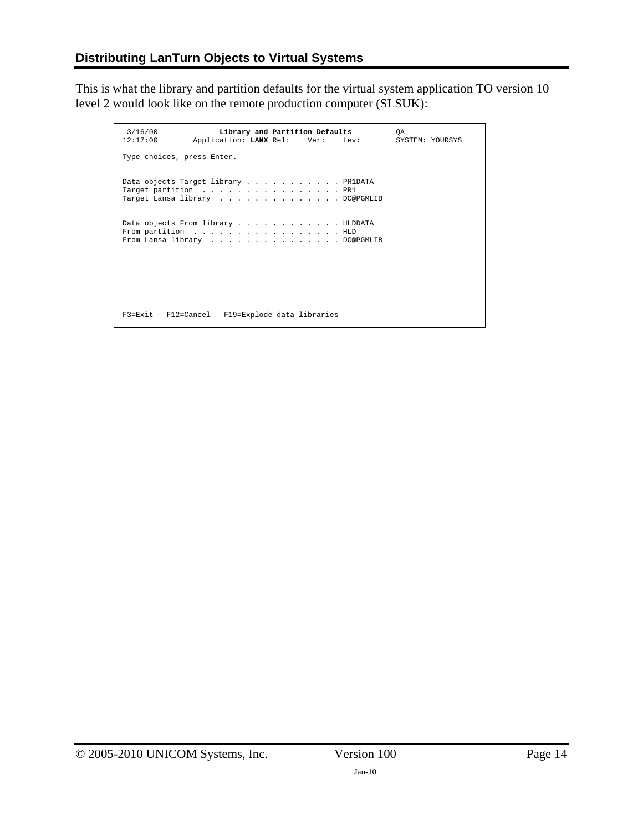This is what the library and partition defaults for the virtual system application TO version 10 level 2 would look like on the remote production computer (SLSUK):

 3/16/00 **Library and Partition Defaults** QA  $Application:$  **LANX** Rel: Type choices, press Enter. Data objects Target library . . . . . . . . . . . PR1DATA Target partition . . . . . . . . . . . . . . . . PR1<br>Target Lansa library . . . . . . . . . . . . . DC@PGMLIB Data objects From library . . . . . . . . . . . . HLDDATA From partition . . . . . . . . . . . . . . . . HLD<br>From Lansa library . . . . . . . . . . . . . . DC@PGMLIB F3=Exit F12=Cancel F19=Explode data libraries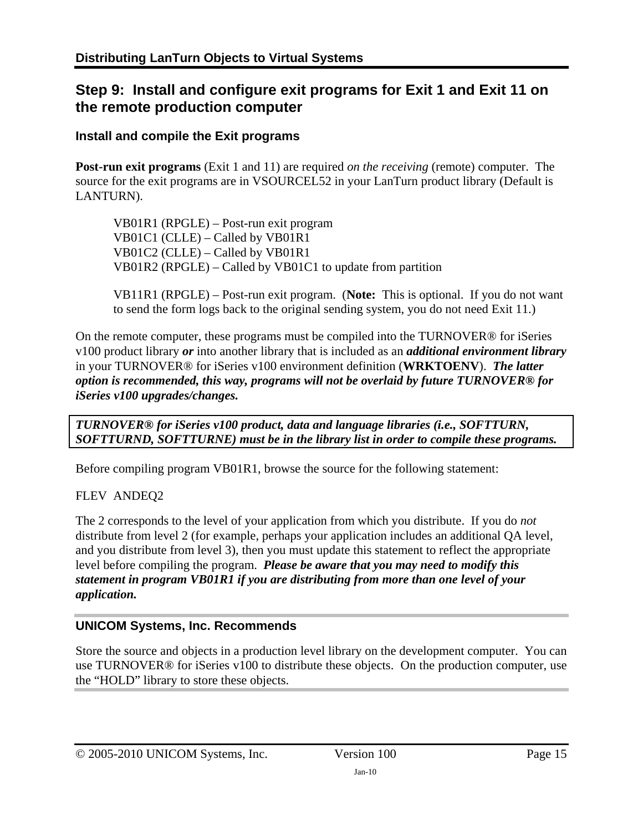### <span id="page-14-0"></span>**Step 9: Install and configure exit programs for Exit 1 and Exit 11 on the remote production computer**

#### <span id="page-14-1"></span>**Install and compile the Exit programs**

**Post-run exit programs** (Exit 1 and 11) are required *on the receiving* (remote) computer. The source for the exit programs are in VSOURCEL52 in your LanTurn product library (Default is LANTURN).

 VB01R1 (RPGLE) – Post-run exit program VB01C1 (CLLE) – Called by VB01R1 VB01C2 (CLLE) – Called by VB01R1 VB01R2 (RPGLE) – Called by VB01C1 to update from partition

VB11R1 (RPGLE) – Post-run exit program. (**Note:** This is optional. If you do not want to send the form logs back to the original sending system, you do not need Exit 11.)

On the remote computer, these programs must be compiled into the TURNOVER® for iSeries v100 product library *or* into another library that is included as an *additional environment library* in your TURNOVER® for iSeries v100 environment definition (**WRKTOENV**). *The latter option is recommended, this way, programs will not be overlaid by future TURNOVER® for iSeries v100 upgrades/changes.* 

*TURNOVER® for iSeries v100 product, data and language libraries (i.e., SOFTTURN, SOFTTURND, SOFTTURNE) must be in the library list in order to compile these programs.* 

Before compiling program VB01R1, browse the source for the following statement:

#### FLEV ANDEQ2

The 2 corresponds to the level of your application from which you distribute. If you do *not* distribute from level 2 (for example, perhaps your application includes an additional QA level, and you distribute from level 3), then you must update this statement to reflect the appropriate level before compiling the program. *Please be aware that you may need to modify this statement in program VB01R1 if you are distributing from more than one level of your application.* 

#### **UNICOM Systems, Inc. Recommends**

Store the source and objects in a production level library on the development computer. You can use TURNOVER® for iSeries v100 to distribute these objects. On the production computer, use the "HOLD" library to store these objects.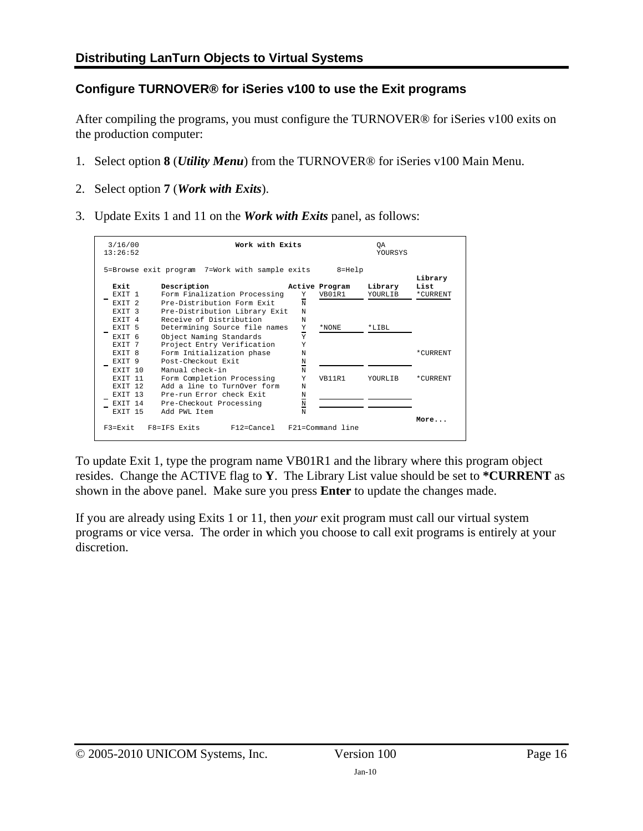#### <span id="page-15-0"></span>**Configure TURNOVER® for iSeries v100 to use the Exit programs**

After compiling the programs, you must configure the TURNOVER® for iSeries v100 exits on the production computer:

- 1. Select option **8** (*Utility Menu*) from the TURNOVER® for iSeries v100 Main Menu.
- 2. Select option **7** (*Work with Exits*).
- 3. Update Exits 1 and 11 on the *Work with Exits* panel, as follows:

| 3/16/00<br>13:26:52                                                                    | Work with Exits                                                                                                                                                      |                                               |                          | ОA<br><b>YOURSYS</b> |                  |
|----------------------------------------------------------------------------------------|----------------------------------------------------------------------------------------------------------------------------------------------------------------------|-----------------------------------------------|--------------------------|----------------------|------------------|
|                                                                                        | 5=Browse exit program 7=Work with sample exits                                                                                                                       |                                               | $8 = He1p$               |                      | Library          |
| Exit<br>EXTT 1<br>EXTT <sub>2</sub><br><b>EXTT</b><br>- 3                              | Description<br>Form Finalization Processing<br>Pre-Distribution Form Exit<br>Pre-Distribution Library Exit                                                           | Y<br>$\mathbf N$<br>N                         | Active Program<br>VB01R1 | Library<br>YOURLIB   | List<br>*CURRENT |
| <b>EXTT 4</b><br>EXIT 5<br>EXTT <sub>6</sub><br><b>EXTT</b><br>- 7<br>EXTT 8<br>EXTT 9 | Receive of Distribution<br>Determining Source file names<br>Object Naming Standards<br>Project Entry Verification<br>Form Initialization phase<br>Post-Checkout Exit | N<br>Y<br>Ξ<br>Y<br>Y<br>N<br>N               | *NONE                    | $*$ T.TBL            | *CURRENT         |
| EXTT 10<br><b>EXTT</b><br>-11<br>EXTT 12<br>EXTT 13<br>EXTT 14<br><b>EXTT</b><br>-15   | Manual check-in<br>Form Completion Processing<br>Add a line to TurnOver form<br>Pre-run Error check Exit<br>Pre-Checkout Processing<br>Add PWL Item                  | -<br>N<br>Y<br>N<br>N<br>-<br>$\hbox{N}$<br>N | VB11R1                   | YOURLIB              | *CURRENT         |
| $F3 = Fx i t$                                                                          | $F8 = TFS$ Exits<br>F12=Cancel F21=Command line                                                                                                                      |                                               |                          |                      | More             |

To update Exit 1, type the program name VB01R1 and the library where this program object resides. Change the ACTIVE flag to **Y**. The Library List value should be set to **\*CURRENT** as shown in the above panel. Make sure you press **Enter** to update the changes made.

If you are already using Exits 1 or 11, then *your* exit program must call our virtual system programs or vice versa. The order in which you choose to call exit programs is entirely at your discretion.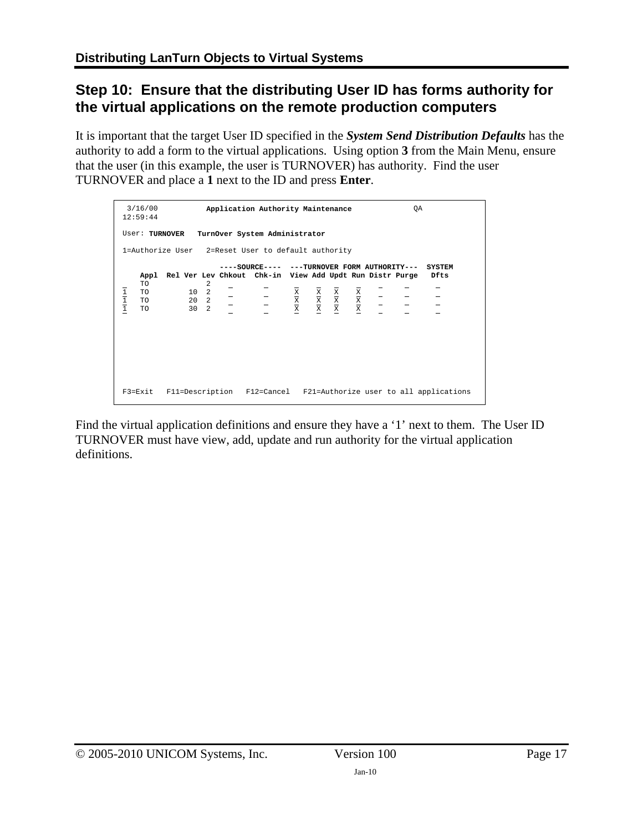## <span id="page-16-0"></span>**Step 10: Ensure that the distributing User ID has forms authority for the virtual applications on the remote production computers**

It is important that the target User ID specified in the *System Send Distribution Defaults* has the authority to add a form to the virtual applications. Using option **3** from the Main Menu, ensure that the user (in this example, the user is TURNOVER) has authority. Find the user TURNOVER and place a **1** next to the ID and press **Enter**.

|                                                                                                       | 3/16/00<br>12:59:44           |  |   |  | Application Authority Maintenance                                                                                                                                                                                                                                                                                                                                                                         |  |  | ОA |                                                                           |
|-------------------------------------------------------------------------------------------------------|-------------------------------|--|---|--|-----------------------------------------------------------------------------------------------------------------------------------------------------------------------------------------------------------------------------------------------------------------------------------------------------------------------------------------------------------------------------------------------------------|--|--|----|---------------------------------------------------------------------------|
| TurnOver System Administrator<br>User: TURNOVER<br>1=Authorize User 2=Reset User to default authority |                               |  |   |  |                                                                                                                                                                                                                                                                                                                                                                                                           |  |  |    |                                                                           |
|                                                                                                       | Appl                          |  |   |  | ----SOURCE---- ---TURNOVER FORM AUTHORITY---<br>Rel Ver Lev Chkout Chk-in View Add Updt Run Distr Purge                                                                                                                                                                                                                                                                                                   |  |  |    | <b>SYSTEM</b><br>Dfts                                                     |
| $\frac{1}{1}$                                                                                         | <b>TO</b><br>TO.<br>TO.<br>TO |  | 2 |  | $\begin{array}{ccccccccc} 10 & 2 & - & - & \frac{1}{2} & \frac{1}{2} & \frac{1}{2} & \frac{1}{2} & \frac{1}{2} & \frac{1}{2} & \frac{1}{2} & \frac{1}{2} & \frac{1}{2} & \frac{1}{2} & \frac{1}{2} & \frac{1}{2} & \frac{1}{2} & \frac{1}{2} & \frac{1}{2} & \frac{1}{2} & \frac{1}{2} & \frac{1}{2} & \frac{1}{2} & \frac{1}{2} & \frac{1}{2} & \frac{1}{2} & \frac{1}{2} & \frac{1}{2} & \frac{1}{2} &$ |  |  |    |                                                                           |
|                                                                                                       |                               |  |   |  |                                                                                                                                                                                                                                                                                                                                                                                                           |  |  |    |                                                                           |
|                                                                                                       |                               |  |   |  |                                                                                                                                                                                                                                                                                                                                                                                                           |  |  |    |                                                                           |
|                                                                                                       |                               |  |   |  |                                                                                                                                                                                                                                                                                                                                                                                                           |  |  |    |                                                                           |
|                                                                                                       |                               |  |   |  |                                                                                                                                                                                                                                                                                                                                                                                                           |  |  |    | F3=Exit F11=Description F12=Cancel F21=Authorize user to all applications |

Find the virtual application definitions and ensure they have a '1' next to them. The User ID TURNOVER must have view, add, update and run authority for the virtual application definitions.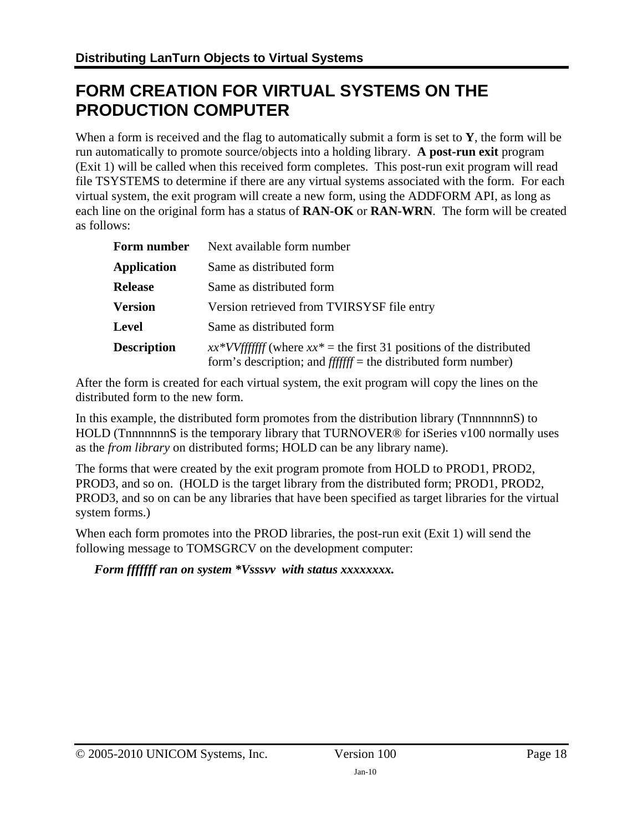## <span id="page-17-0"></span>**FORM CREATION FOR VIRTUAL SYSTEMS ON THE PRODUCTION COMPUTER**

When a form is received and the flag to automatically submit a form is set to **Y**, the form will be run automatically to promote source/objects into a holding library. **A post-run exit** program (Exit 1) will be called when this received form completes. This post-run exit program will read file TSYSTEMS to determine if there are any virtual systems associated with the form. For each virtual system, the exit program will create a new form, using the ADDFORM API, as long as each line on the original form has a status of **RAN-OK** or **RAN-WRN**. The form will be created as follows:

| Form number        | Next available form number                                                                                                                |  |  |  |
|--------------------|-------------------------------------------------------------------------------------------------------------------------------------------|--|--|--|
| <b>Application</b> | Same as distributed form                                                                                                                  |  |  |  |
| <b>Release</b>     | Same as distributed form                                                                                                                  |  |  |  |
| <b>Version</b>     | Version retrieved from TVIRSYSF file entry                                                                                                |  |  |  |
| <b>Level</b>       | Same as distributed form                                                                                                                  |  |  |  |
| <b>Description</b> | $xx*VVffffff$ (where $xx*$ = the first 31 positions of the distributed<br>form's description; and $ffffff$ = the distributed form number) |  |  |  |

After the form is created for each virtual system, the exit program will copy the lines on the distributed form to the new form.

In this example, the distributed form promotes from the distribution library (TnnnnnnnS) to HOLD (TnnnnnnnS is the temporary library that TURNOVER<sup>®</sup> for iSeries v100 normally uses as the *from library* on distributed forms; HOLD can be any library name).

The forms that were created by the exit program promote from HOLD to PROD1, PROD2, PROD3, and so on. (HOLD is the target library from the distributed form; PROD1, PROD2, PROD3, and so on can be any libraries that have been specified as target libraries for the virtual system forms.)

When each form promotes into the PROD libraries, the post-run exit (Exit 1) will send the following message to TOMSGRCV on the development computer:

#### *Form fffffff ran on system \*Vsssvv with status xxxxxxxx.*